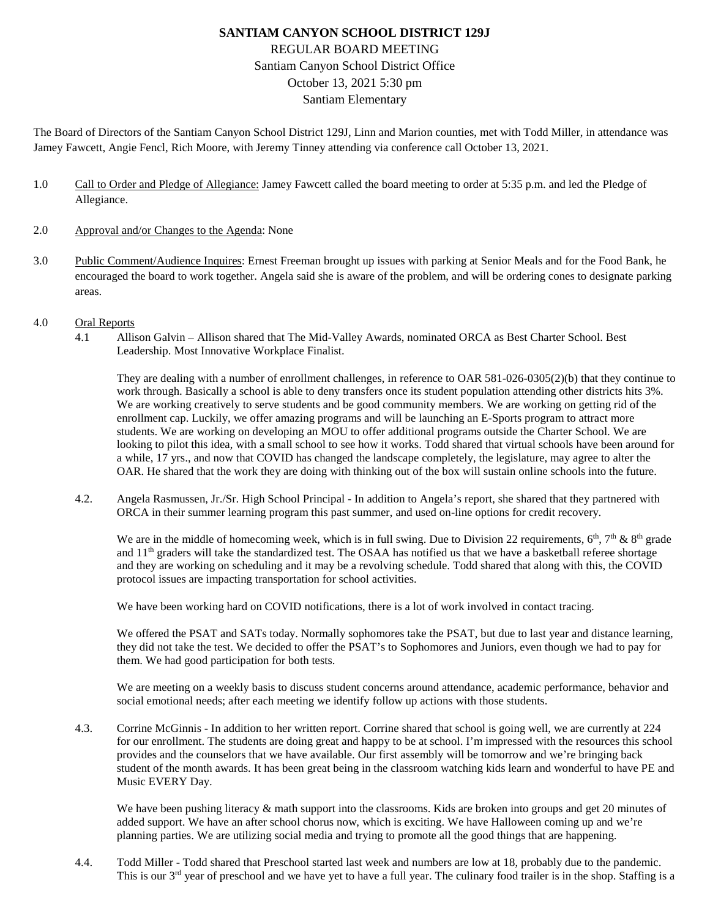## **SANTIAM CANYON SCHOOL DISTRICT 129J** REGULAR BOARD MEETING Santiam Canyon School District Office October 13, 2021 5:30 pm Santiam Elementary

The Board of Directors of the Santiam Canyon School District 129J, Linn and Marion counties, met with Todd Miller, in attendance was Jamey Fawcett, Angie Fencl, Rich Moore, with Jeremy Tinney attending via conference call October 13, 2021.

- 1.0 Call to Order and Pledge of Allegiance: Jamey Fawcett called the board meeting to order at 5:35 p.m. and led the Pledge of Allegiance.
- 2.0 Approval and/or Changes to the Agenda: None
- 3.0 Public Comment/Audience Inquires: Ernest Freeman brought up issues with parking at Senior Meals and for the Food Bank, he encouraged the board to work together. Angela said she is aware of the problem, and will be ordering cones to designate parking areas.
- 4.0 Oral Reports
	- 4.1 Allison Galvin Allison shared that The Mid-Valley Awards, nominated ORCA as Best Charter School. Best Leadership. Most Innovative Workplace Finalist.

They are dealing with a number of enrollment challenges, in reference to [OAR 581-026-0305\(](https://secure.sos.state.or.us/oard/viewSingleRule.action?ruleVrsnRsn=145766)2)(b) that they continue to work through. Basically a school is able to deny transfers once its student population attending other districts hits 3%. We are working creatively to serve students and be good community members. We are working on getting rid of the enrollment cap. Luckily, we offer amazing programs and will be launching an E-Sports program to attract more students. We are working on developing an MOU to offer additional programs outside the Charter School. We are looking to pilot this idea, with a small school to see how it works. Todd shared that virtual schools have been around for a while, 17 yrs., and now that COVID has changed the landscape completely, the legislature, may agree to alter the OAR. He shared that the work they are doing with thinking out of the box will sustain online schools into the future.

4.2. Angela Rasmussen, Jr./Sr. High School Principal - In addition to Angela's report, she shared that they partnered with ORCA in their summer learning program this past summer, and used on-line options for credit recovery.

We are in the middle of homecoming week, which is in full swing. Due to Division 22 requirements,  $6<sup>th</sup>$ ,  $7<sup>th</sup>$  &  $8<sup>th</sup>$  grade and  $11<sup>th</sup>$  graders will take the standardized test. The OSAA has notified us that we have a basketball referee shortage and they are working on scheduling and it may be a revolving schedule. Todd shared that along with this, the COVID protocol issues are impacting transportation for school activities.

We have been working hard on COVID notifications, there is a lot of work involved in contact tracing.

We offered the PSAT and SATs today. Normally sophomores take the PSAT, but due to last year and distance learning, they did not take the test. We decided to offer the PSAT's to Sophomores and Juniors, even though we had to pay for them. We had good participation for both tests.

We are meeting on a weekly basis to discuss student concerns around attendance, academic performance, behavior and social emotional needs; after each meeting we identify follow up actions with those students.

4.3. Corrine McGinnis - In addition to her written report. Corrine shared that school is going well, we are currently at 224 for our enrollment. The students are doing great and happy to be at school. I'm impressed with the resources this school provides and the counselors that we have available. Our first assembly will be tomorrow and we're bringing back student of the month awards. It has been great being in the classroom watching kids learn and wonderful to have PE and Music EVERY Day.

We have been pushing literacy & math support into the classrooms. Kids are broken into groups and get 20 minutes of added support. We have an after school chorus now, which is exciting. We have Halloween coming up and we're planning parties. We are utilizing social media and trying to promote all the good things that are happening.

4.4. Todd Miller - Todd shared that Preschool started last week and numbers are low at 18, probably due to the pandemic. This is our 3<sup>rd</sup> year of preschool and we have yet to have a full year. The culinary food trailer is in the shop. Staffing is a